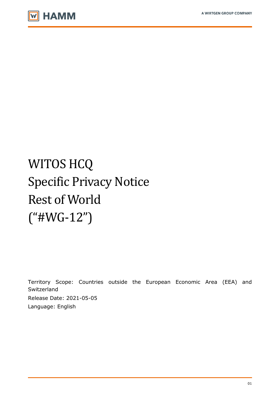

# WITOS HCQ Specific Privacy Notice Rest of World ("#WG-12")

Territory Scope: Countries outside the European Economic Area (EEA) and Switzerland Release Date: 2021-05-05 Language: English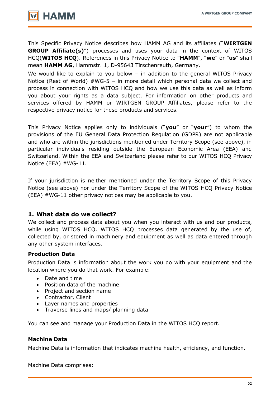

This Specific Privacy Notice describes how HAMM AG and its affiliates ("**WIRTGEN GROUP Affiliate(s)**") processes and uses your data in the context of WITOS HCQ(**WITOS HCQ**). References in this Privacy Notice to "**HAMM**", "**we**" or "**us**" shall mean **HAMM AG**, Hammstr. 1, D-95643 Tirschenreuth, Germany.

We would like to explain to you below - in addition to the general WITOS Privacy Notice (Rest of World) #WG-5 – in more detail which personal data we collect and process in connection with WITOS HCQ and how we use this data as well as inform you about your rights as a data subject. For information on other products and services offered by HAMM or WIRTGEN GROUP Affiliates, please refer to the respective privacy notice for these products and services.

This Privacy Notice applies only to individuals ("**you**" or "**your**") to whom the provisions of the EU General Data Protection Regulation (GDPR) are not applicable and who are within the jurisdictions mentioned under Territory Scope (see above), in particular individuals residing outside the European Economic Area (EEA) and Switzerland. Within the EEA and Switzerland please refer to our WITOS HCQ Privacy Notice (EEA) #WG-11.

If your jurisdiction is neither mentioned under the Territory Scope of this Privacy Notice (see above) nor under the Territory Scope of the WITOS HCQ Privacy Notice (EEA) #WG-11 other privacy notices may be applicable to you.

## **1. What data do we collect?**

We collect and process data about you when you interact with us and our products, while using WITOS HCQ. WITOS HCQ processes data generated by the use of, collected by, or stored in machinery and equipment as well as data entered through any other system interfaces.

## **Production Data**

Production Data is information about the work you do with your equipment and the location where you do that work. For example:

- Date and time
- Position data of the machine
- Project and section name
- Contractor, Client
- Layer names and properties
- Traverse lines and maps/ planning data

You can see and manage your Production Data in the WITOS HCQ report.

#### **Machine Data**

Machine Data is information that indicates machine health, efficiency, and function.

Machine Data comprises: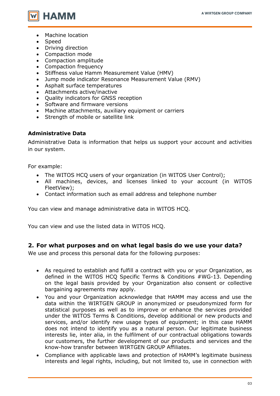

- Machine location
- Speed
- Driving direction
- Compaction mode
- Compaction amplitude
- Compaction frequency
- Stiffness value Hamm Measurement Value (HMV)
- Jump mode indicator Resonance Measurement Value (RMV)
- Asphalt surface temperatures
- Attachments active/inactive
- Quality indicators for GNSS reception
- Software and firmware versions
- Machine attachments, auxiliary equipment or carriers
- Strength of mobile or satellite link

### **Administrative Data**

Administrative Data is information that helps us support your account and activities in our system.

For example:

- The WITOS HCQ users of your organization (in WITOS User Control);
- All machines, devices, and licenses linked to your account (in WITOS FleetView);
- Contact information such as email address and telephone number

You can view and manage administrative data in WITOS HCQ.

You can view and use the listed data in WITOS HCQ.

## **2. For what purposes and on what legal basis do we use your data?**

We use and process this personal data for the following purposes:

- As required to establish and fulfill a contract with you or your Organization, as defined in the WITOS HCQ Specific Terms & Conditions #WG-13. Depending on the legal basis provided by your Organization also consent or collective bargaining agreements may apply.
- You and your Organization acknowledge that HAMM may access and use the data within the WIRTGEN GROUP in anonymized or pseudonymized form for statistical purposes as well as to improve or enhance the services provided under the WITOS Terms & Conditions, develop additional or new products and services, and/or identify new usage types of equipment; in this case HAMM does not intend to identify you as a natural person. Our legitimate business interests lie, inter alia, in the fulfilment of our contractual obligations towards our customers, the further development of our products and services and the know-how transfer between WIRTGEN GROUP Affiliates.
- Compliance with applicable laws and protection of HAMM's legitimate business interests and legal rights, including, but not limited to, use in connection with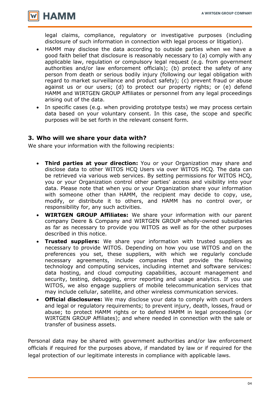

legal claims, compliance, regulatory or investigative purposes (including disclosure of such information in connection with legal process or litigation).

- HAMM may disclose the data according to outside parties when we have a good faith belief that disclosure is reasonably necessary to (a) comply with any applicable law, regulation or compulsory legal request (e.g. from government authorities and/or law enforcement officials); (b) protect the safety of any person from death or serious bodily injury (following our legal obligation with regard to market surveillance and product safety); (c) prevent fraud or abuse against us or our users; (d) to protect our property rights; or (e) defend HAMM and WIRTGEN GROUP Affiliates or personnel from any legal proceedings arising out of the data.
- In specific cases (e.g. when providing prototype tests) we may process certain data based on your voluntary consent. In this case, the scope and specific purposes will be set forth in the relevant consent form.

## **3. Who will we share your data with?**

We share your information with the following recipients:

- **Third parties at your direction:** You or your Organization may share and disclose data to other WITOS HCQ Users via over WITOS HCQ. The data can be retrieved via various web services. By setting permissions for WITOS HCQ, you or your Organization control other parties' access and visibility into your data. Please note that when you or your Organization share your information with someone other than HAMM, the recipient may decide to copy, use, modify, or distribute it to others, and HAMM has no control over, or responsibility for, any such activities.
- **WIRTGEN GROUP Affiliates:** We share your information with our parent company Deere & Company and WIRTGEN GROUP wholly-owned subsidiaries as far as necessary to provide you WITOS as well as for the other purposes described in this notice.
- **Trusted suppliers:** We share your information with trusted suppliers as necessary to provide WITOS. Depending on how you use WITOS and on the preferences you set, these suppliers, with which we regularly conclude necessary agreements, include companies that provide the following technology and computing services, including internet and software services: data hosting, and cloud computing capabilities, account management and security, testing, debugging, error reporting and usage analytics. If you use WITOS, we also engage suppliers of mobile telecommunication services that may include cellular, satellite, and other wireless communication services.
- **Official disclosures:** We may disclose your data to comply with court orders and legal or regulatory requirements; to prevent injury, death, losses, fraud or abuse; to protect HAMM rights or to defend HAMM in legal proceedings (or WIRTGEN GROUP Affiliates); and where needed in connection with the sale or transfer of business assets.

Personal data may be shared with government authorities and/or law enforcement officials if required for the purposes above, if mandated by law or if required for the legal protection of our legitimate interests in compliance with applicable laws.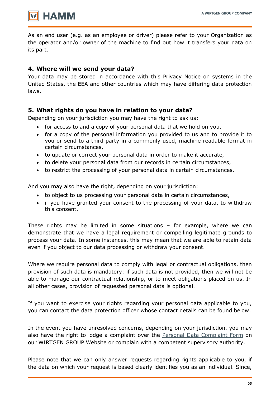

As an end user (e.g. as an employee or driver) please refer to your Organization as the operator and/or owner of the machine to find out how it transfers your data on its part.

# **4. Where will we send your data?**

Your data may be stored in accordance with this Privacy Notice on systems in the United States, the EEA and other countries which may have differing data protection laws.

# **5. What rights do you have in relation to your data?**

Depending on your jurisdiction you may have the right to ask us:

- for access to and a copy of your personal data that we hold on you,
- for a copy of the personal information you provided to us and to provide it to you or send to a third party in a commonly used, machine readable format in certain circumstances,
- to update or correct your personal data in order to make it accurate,
- to delete your personal data from our records in certain circumstances,
- to restrict the processing of your personal data in certain circumstances.

And you may also have the right, depending on your jurisdiction:

- to object to us processing your personal data in certain circumstances,
- if you have granted your consent to the processing of your data, to withdraw this consent.

These rights may be limited in some situations – for example, where we can demonstrate that we have a legal requirement or compelling legitimate grounds to process your data. In some instances, this may mean that we are able to retain data even if you object to our data processing or withdraw your consent.

Where we require personal data to comply with legal or contractual obligations, then provision of such data is mandatory: if such data is not provided, then we will not be able to manage our contractual relationship, or to meet obligations placed on us. In all other cases, provision of requested personal data is optional.

If you want to exercise your rights regarding your personal data applicable to you, you can contact the data protection officer whose contact details can be found below.

In the event you have unresolved concerns, depending on your jurisdiction, you may also have the right to lodge a complaint over the [Personal Data Complaint Form](https://www.wirtgen-group.com/en-de/legal/privacy-policy/#398024) on our WIRTGEN GROUP Website or complain with a competent supervisory authority.

Please note that we can only answer requests regarding rights applicable to you, if the data on which your request is based clearly identifies you as an individual. Since,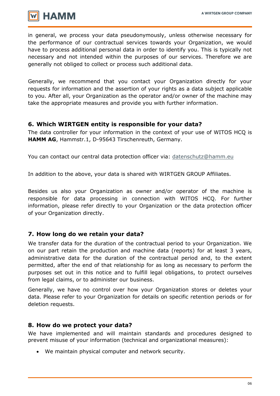

in general, we process your data pseudonymously, unless otherwise necessary for the performance of our contractual services towards your Organization, we would have to process additional personal data in order to identify you. This is typically not necessary and not intended within the purposes of our services. Therefore we are generally not obliged to collect or process such additional data.

Generally, we recommend that you contact your Organization directly for your requests for information and the assertion of your rights as a data subject applicable to you. After all, your Organization as the operator and/or owner of the machine may take the appropriate measures and provide you with further information.

## **6. Which WIRTGEN entity is responsible for your data?**

The data controller for your information in the context of your use of WITOS HCQ is **HAMM AG**, Hammstr.1, D-95643 Tirschenreuth, Germany.

You can contact our central data protection officer via: [datenschutz@hamm.eu](mailto:datenschutz@hamm.eu)

In addition to the above, your data is shared with WIRTGEN GROUP Affiliates.

Besides us also your Organization as owner and/or operator of the machine is responsible for data processing in connection with WITOS HCQ. For further information, please refer directly to your Organization or the data protection officer of your Organization directly.

## **7. How long do we retain your data?**

We transfer data for the duration of the contractual period to your Organization. We on our part retain the production and machine data (reports) for at least 3 years, administrative data for the duration of the contractual period and, to the extent permitted, after the end of that relationship for as long as necessary to perform the purposes set out in this notice and to fulfill legal obligations, to protect ourselves from legal claims, or to administer our business.

Generally, we have no control over how your Organization stores or deletes your data. Please refer to your Organization for details on specific retention periods or for deletion requests.

## **8. How do we protect your data?**

We have implemented and will maintain standards and procedures designed to prevent misuse of your information (technical and organizational measures):

We maintain physical computer and network security.